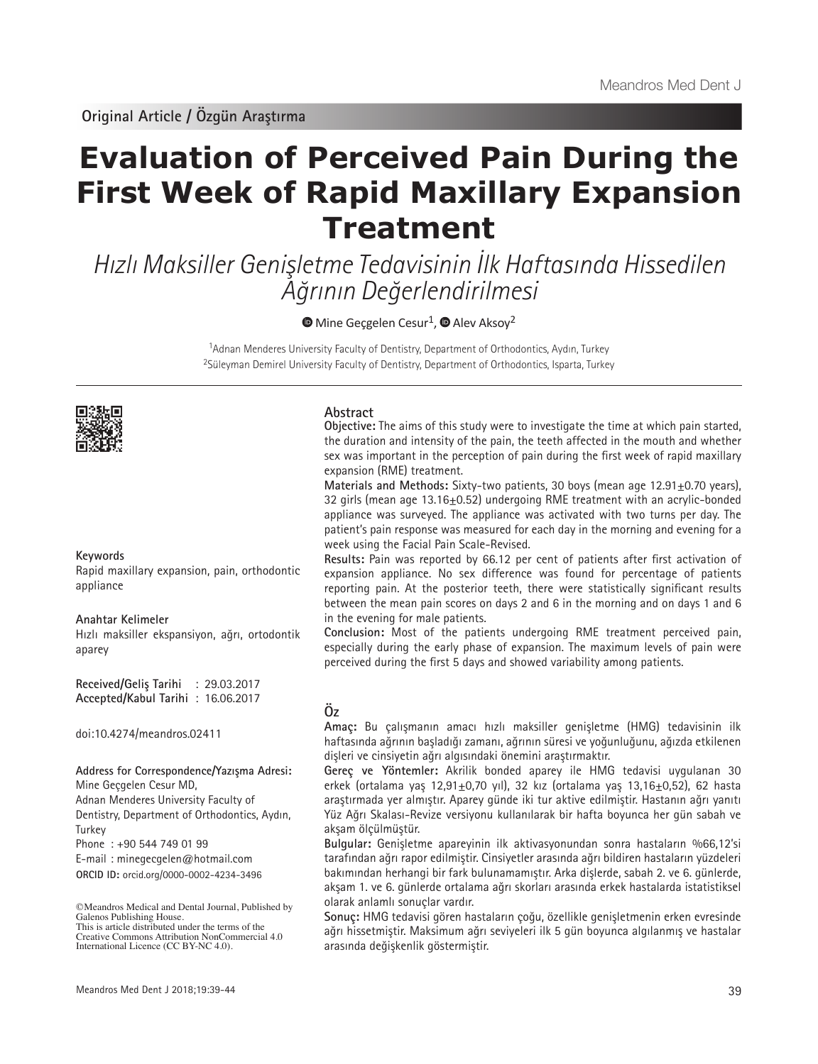# **Evaluation of Perceived Pain During the First Week of Rapid Maxillary Expansion Treatment**

Hızlı Maksiller Genişletme Tedavisinin İlk Haftasında Hissedilen Ağrının Değerlendirilmesi

 $\bullet$ Mine Gecgelen Cesur<sup>1</sup>,  $\bullet$  Alev Aksoy<sup>2</sup>

<sup>1</sup>Adnan Menderes University Faculty of Dentistry, Department of Orthodontics, Aydın, Turkey <sup>2</sup>Süleyman Demirel University Faculty of Dentistry, Department of Orthodontics, Isparta, Turkey



# **Keywords**

Rapid maxillary expansion, pain, orthodontic appliance

### **Anahtar Kelimeler**

Hızlı maksiller ekspansiyon, ağrı, ortodontik aparey

**Received/Geliş Tarihi** : 29.03.2017 **Accepted/Kabul Tarihi** : 16.06.2017

doi:10.4274/meandros.02411

### **Address for Correspondence/Yazışma Adresi:**

Mine Geçgelen Cesur MD,

Adnan Menderes University Faculty of Dentistry, Department of Orthodontics, Aydın, **Turkey** 

Phone : +90 544 749 01 99

E-mail : minegecgelen@hotmail.com

**ORCID ID:** orcid.org/0000-0002-4234-3496

# sex was important in the perception of pain during the first week of rapid maxillary

**Abstract**

expansion (RME) treatment. **Materials and Methods: Sixty-two patients, 30 boys (mean age 12.91+0.70 years),** 32 girls (mean age 13.16±0.52) undergoing RME treatment with an acrylic-bonded appliance was surveyed. The appliance was activated with two turns per day. The patient's pain response was measured for each day in the morning and evening for a

**Objective:** The aims of this study were to investigate the time at which pain started, the duration and intensity of the pain, the teeth affected in the mouth and whether

week using the Facial Pain Scale-Revised. **Results:** Pain was reported by 66.12 per cent of patients after first activation of expansion appliance. No sex difference was found for percentage of patients reporting pain. At the posterior teeth, there were statistically significant results between the mean pain scores on days 2 and 6 in the morning and on days 1 and 6 in the evening for male patients.

**Conclusion:** Most of the patients undergoing RME treatment perceived pain, especially during the early phase of expansion. The maximum levels of pain were perceived during the first 5 days and showed variability among patients.

# **Öz**

**Amaç:** Bu çalışmanın amacı hızlı maksiller genişletme (HMG) tedavisinin ilk haftasında ağrının başladığı zamanı, ağrının süresi ve yoğunluğunu, ağızda etkilenen dişleri ve cinsiyetin ağrı algısındaki önemini araştırmaktır.

**Gereç ve Yöntemler:** Akrilik bonded aparey ile HMG tedavisi uygulanan 30 erkek (ortalama yaş 12,91 $\pm$ 0,70 yıl), 32 kız (ortalama yaş 13,16 $\pm$ 0,52), 62 hasta araştırmada yer almıştır. Aparey günde iki tur aktive edilmiştir. Hastanın ağrı yanıtı Yüz Ağrı Skalası-Revize versiyonu kullanılarak bir hafta boyunca her gün sabah ve akşam ölçülmüştür.

**Bulgular:** Genişletme apareyinin ilk aktivasyonundan sonra hastaların %66,12'si tarafından ağrı rapor edilmiştir. Cinsiyetler arasında ağrı bildiren hastaların yüzdeleri bakımından herhangi bir fark bulunamamıştır. Arka dişlerde, sabah 2. ve 6. günlerde, akşam 1. ve 6. günlerde ortalama ağrı skorları arasında erkek hastalarda istatistiksel olarak anlamlı sonuçlar vardır.

**Sonuç:** HMG tedavisi gören hastaların çoğu, özellikle genişletmenin erken evresinde ağrı hissetmiştir. Maksimum ağrı seviyeleri ilk 5 gün boyunca algılanmış ve hastalar arasında değişkenlik göstermiştir.

<sup>©</sup>Meandros Medical and Dental Journal, Published by Galenos Publishing House. This is article distributed under the terms of the

Creative Commons Attribution NonCommercial 4.0 International Licence (CC BY-NC 4.0).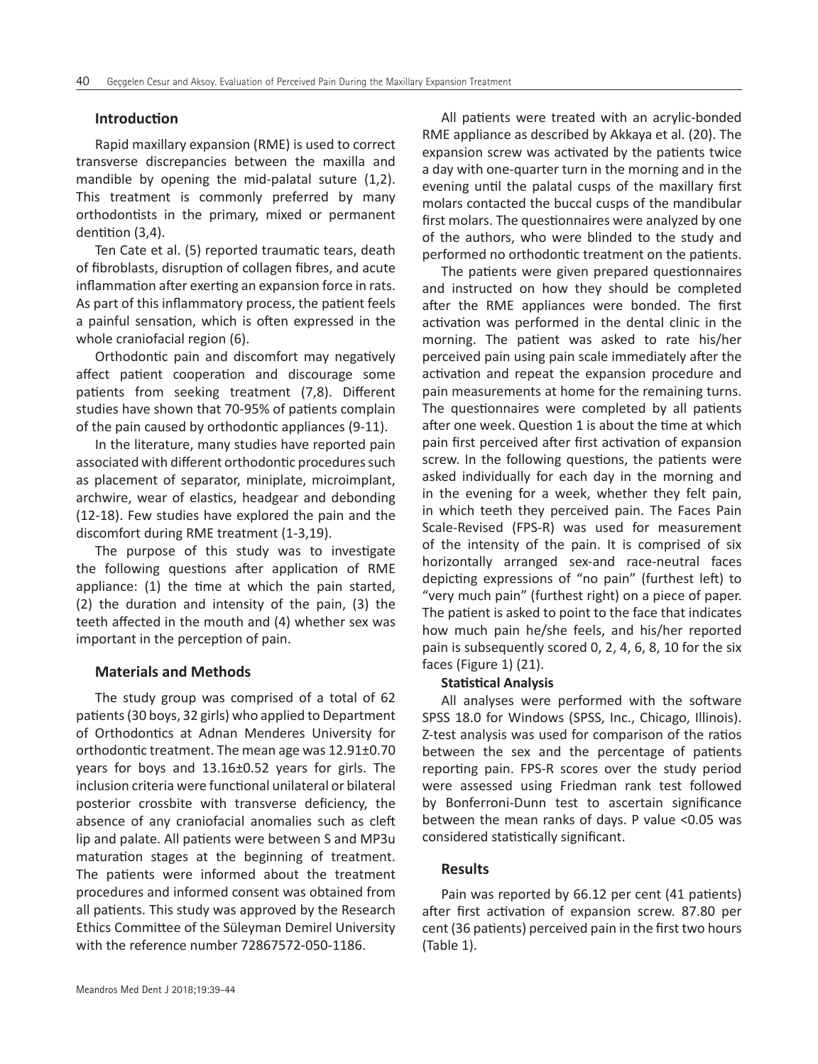# **Introduction**

Rapid maxillary expansion (RME) is used to correct transverse discrepancies between the maxilla and mandible by opening the mid-palatal suture (1,2). This treatment is commonly preferred by many orthodontists in the primary, mixed or permanent dentition (3,4).

Ten Cate et al. (5) reported traumatic tears, death of fibroblasts, disruption of collagen fibres, and acute inflammation after exerting an expansion force in rats. As part of this inflammatory process, the patient feels a painful sensation, which is often expressed in the whole craniofacial region (6).

Orthodontic pain and discomfort may negatively affect patient cooperation and discourage some patients from seeking treatment (7,8). Different studies have shown that 70-95% of patients complain of the pain caused by orthodontic appliances (9-11).

In the literature, many studies have reported pain associated with different orthodontic procedures such as placement of separator, miniplate, microimplant, archwire, wear of elastics, headgear and debonding (12-18). Few studies have explored the pain and the discomfort during RME treatment (1-3,19).

The purpose of this study was to investigate the following questions after application of RME appliance: (1) the time at which the pain started, (2) the duration and intensity of the pain, (3) the teeth affected in the mouth and (4) whether sex was important in the perception of pain.

### **Materials and Methods**

The study group was comprised of a total of 62 patients (30 boys, 32 girls) who applied to Department of Orthodontics at Adnan Menderes University for orthodontic treatment. The mean age was 12.91±0.70 years for boys and 13.16±0.52 years for girls. The inclusion criteria were functional unilateral or bilateral posterior crossbite with transverse deficiency, the absence of any craniofacial anomalies such as cleft lip and palate. All patients were between S and MP3u maturation stages at the beginning of treatment. The patients were informed about the treatment procedures and informed consent was obtained from all patients. This study was approved by the Research Ethics Committee of the Süleyman Demirel University with the reference number 72867572-050-1186.

All patients were treated with an acrylic-bonded RME appliance as described by Akkaya et al. (20). The expansion screw was activated by the patients twice a day with one-quarter turn in the morning and in the evening until the palatal cusps of the maxillary first molars contacted the buccal cusps of the mandibular first molars. The questionnaires were analyzed by one of the authors, who were blinded to the study and performed no orthodontic treatment on the patients.

The patients were given prepared questionnaires and instructed on how they should be completed after the RME appliances were bonded. The first activation was performed in the dental clinic in the morning. The patient was asked to rate his/her perceived pain using pain scale immediately after the activation and repeat the expansion procedure and pain measurements at home for the remaining turns. The questionnaires were completed by all patients after one week. Question 1 is about the time at which pain first perceived after first activation of expansion screw. In the following questions, the patients were asked individually for each day in the morning and in the evening for a week, whether they felt pain, in which teeth they perceived pain. The Faces Pain Scale-Revised (FPS-R) was used for measurement of the intensity of the pain. It is comprised of six horizontally arranged sex-and race-neutral faces depicting expressions of "no pain" (furthest left) to "very much pain" (furthest right) on a piece of paper. The patient is asked to point to the face that indicates how much pain he/she feels, and his/her reported pain is subsequently scored 0, 2, 4, 6, 8, 10 for the six faces (Figure 1) (21).

# **Statistical Analysis**

All analyses were performed with the software SPSS 18.0 for Windows (SPSS, Inc., Chicago, Illinois). Z-test analysis was used for comparison of the ratios between the sex and the percentage of patients reporting pain. FPS-R scores over the study period were assessed using Friedman rank test followed by Bonferroni-Dunn test to ascertain significance between the mean ranks of days. P value <0.05 was considered statistically significant.

# **Results**

Pain was reported by 66.12 per cent (41 patients) after first activation of expansion screw. 87.80 per cent (36 patients) perceived pain in the first two hours (Table 1).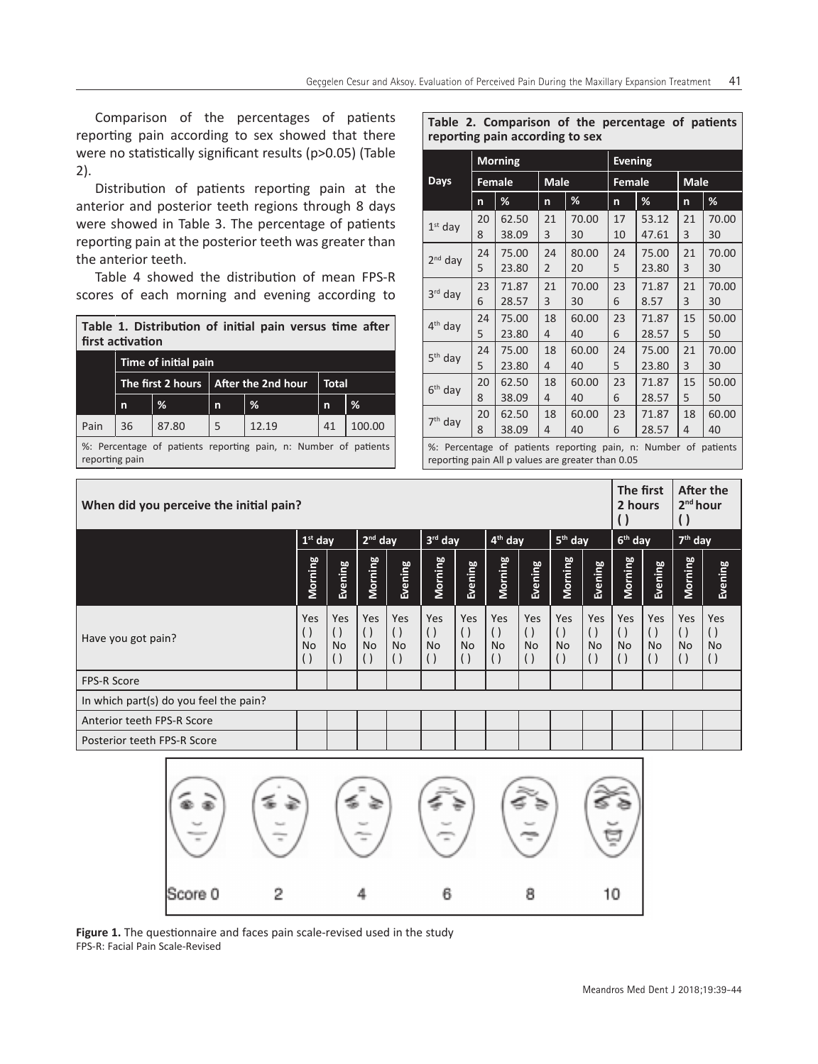Comparison of the percentages of patients reporting pain according to sex showed that there were no statistically significant results (p>0.05) (Table 2).

Distribution of patients reporting pain at the anterior and posterior teeth regions through 8 days were showed in Table 3. The percentage of patients reporting pain at the posterior teeth was greater than the anterior teeth.

Table 4 showed the distribution of mean FPS-R scores of each morning and evening according to

|                  | Table 1. Distribution of initial pain versus time after |  |  |  |
|------------------|---------------------------------------------------------|--|--|--|
| first activation |                                                         |  |  |  |

|      | Time of initial pain |       |   |                                        |              |        |  |  |  |  |  |  |
|------|----------------------|-------|---|----------------------------------------|--------------|--------|--|--|--|--|--|--|
|      |                      |       |   | The first 2 hours   After the 2nd hour | <b>Total</b> |        |  |  |  |  |  |  |
|      | n                    | %     | n | %                                      | $\mathbf n$  | %      |  |  |  |  |  |  |
| Pain | 36                   | 87.80 |   | 12.19                                  | 41           | 100.00 |  |  |  |  |  |  |

%: Percentage of patients reporting pain, n: Number of patients reporting pain

## **Table 2. Comparison of the percentage of patients reporting pain according to sex**

|                     |    | <b>Morning</b> |                |             | <b>Evening</b> |       |             |       |  |  |
|---------------------|----|----------------|----------------|-------------|----------------|-------|-------------|-------|--|--|
| Days                |    | <b>Female</b>  |                | <b>Male</b> | <b>Female</b>  |       | <b>Male</b> |       |  |  |
|                     | n  | %              | n              | %           | n              | %     | n           | %     |  |  |
| $1st$ day           | 20 | 62.50          | 21             | 70.00       | 17             | 53.12 | 21          | 70.00 |  |  |
|                     | 8  | 38.09          | 3              | 30          | 10             | 47.61 | 3           | 30    |  |  |
| $2nd$ day           | 24 | 75.00          | 24             | 80.00       | 24             | 75.00 | 21          | 70.00 |  |  |
|                     | 5  | 23.80          | $\overline{2}$ | 20          | 5              | 23.80 | 3           | 30    |  |  |
|                     | 23 | 71.87          | 21             | 70.00       | 23             | 71.87 | 21          | 70.00 |  |  |
| 3rd day             | 6  | 28.57          | 3              | 30          | 6              | 8.57  | 3           | 30    |  |  |
| 4 <sup>th</sup> day | 24 | 75.00          | 18             | 60.00       | 23             | 71.87 | 15          | 50.00 |  |  |
|                     | 5  | 23.80          | 4              | 40          | 6              | 28.57 | 5           | 50    |  |  |
| 5 <sup>th</sup> day | 24 | 75.00          | 18             | 60.00       | 24             | 75.00 | 21          | 70.00 |  |  |
|                     | 5  | 23.80          | 4              | 40          | 5              | 23.80 | 3           | 30    |  |  |
| $6th$ day           | 20 | 62.50          | 18             | 60.00       | 23             | 71.87 | 15          | 50.00 |  |  |
|                     | 8  | 38.09          | 4              | 40          | 6              | 28.57 | 5           | 50    |  |  |
| 7 <sup>th</sup> day | 20 | 62.50          | 18             | 60.00       | 23             | 71.87 | 18          | 60.00 |  |  |
|                     | 8  | 38.09          | 4              | 40          | 6              | 28.57 | 4           | 40    |  |  |
| $\sim$ $\sim$       |    |                |                |             |                |       |             |       |  |  |

%: Percentage of patients reporting pain, n: Number of patients reporting pain All p values are greater than 0.05

| When did you perceive the initial pain? |                                                            |                                                              |                                                                   |                                                                     |                                                                   |                                                          |                                                              |                                                              |                                                              | The first<br>2 hours                          |                                                              | After the<br>2 <sup>nd</sup> hour                                 |                                                          |                                                                 |
|-----------------------------------------|------------------------------------------------------------|--------------------------------------------------------------|-------------------------------------------------------------------|---------------------------------------------------------------------|-------------------------------------------------------------------|----------------------------------------------------------|--------------------------------------------------------------|--------------------------------------------------------------|--------------------------------------------------------------|-----------------------------------------------|--------------------------------------------------------------|-------------------------------------------------------------------|----------------------------------------------------------|-----------------------------------------------------------------|
|                                         | $1st$ day                                                  |                                                              |                                                                   | $2nd$ day<br>$3rd$ day                                              |                                                                   | 4 <sup>th</sup> day                                      |                                                              | $5th$ day                                                    |                                                              | $6th$ day                                     |                                                              | $7th$ day                                                         |                                                          |                                                                 |
|                                         | Morning                                                    | Evening                                                      | Morning                                                           | Evening                                                             | Morning                                                           | Evening                                                  | Morning                                                      | Evening                                                      | Morning                                                      | Evening                                       | Morning                                                      | Evening                                                           | Morning                                                  | Evening                                                         |
| Have you got pain?                      | Yes<br>$\left( \right)$<br><b>No</b><br>$\left( \ \right)$ | Yes<br>$\left( \ \right)$<br><b>No</b><br>$\left( \ \right)$ | <b>Yes</b><br>$\left( \right)$<br><b>No</b><br>$\left( \ \right)$ | <b>Yes</b><br>$\left( \ \right)$<br><b>No</b><br>$\left( \ \right)$ | <b>Yes</b><br>$\left( \right)$<br><b>No</b><br>$\left( \ \right)$ | Yes<br>$\left( \right)$<br><b>No</b><br>$\left( \right)$ | Yes<br>$\left( \ \right)$<br><b>No</b><br>$\left( \ \right)$ | Yes<br>$\left( \ \right)$<br><b>No</b><br>$\left( \ \right)$ | Yes<br>$\left( \ \right)$<br><b>No</b><br>$\left( \ \right)$ | Yes<br>$\left( \ \right)$<br><b>No</b><br>( ) | Yes<br>$\left( \ \right)$<br><b>No</b><br>$\left( \ \right)$ | <b>Yes</b><br>$\left( \ \right)$<br><b>No</b><br>$\left( \right)$ | Yes<br>$\left( \right)$<br><b>No</b><br>$\left( \right)$ | <b>Yes</b><br>$\left( \right)$<br><b>No</b><br>$\left( \right)$ |
| <b>FPS-R Score</b>                      |                                                            |                                                              |                                                                   |                                                                     |                                                                   |                                                          |                                                              |                                                              |                                                              |                                               |                                                              |                                                                   |                                                          |                                                                 |
| In which part(s) do you feel the pain?  |                                                            |                                                              |                                                                   |                                                                     |                                                                   |                                                          |                                                              |                                                              |                                                              |                                               |                                                              |                                                                   |                                                          |                                                                 |
| Anterior teeth FPS-R Score              |                                                            |                                                              |                                                                   |                                                                     |                                                                   |                                                          |                                                              |                                                              |                                                              |                                               |                                                              |                                                                   |                                                          |                                                                 |
| Posterior teeth FPS-R Score             |                                                            |                                                              |                                                                   |                                                                     |                                                                   |                                                          |                                                              |                                                              |                                                              |                                               |                                                              |                                                                   |                                                          |                                                                 |
|                                         |                                                            |                                                              |                                                                   |                                                                     |                                                                   |                                                          |                                                              |                                                              |                                                              |                                               |                                                              |                                                                   |                                                          |                                                                 |



**Figure 1.** The questionnaire and faces pain scale-revised used in the study FPS-R: Facial Pain Scale-Revised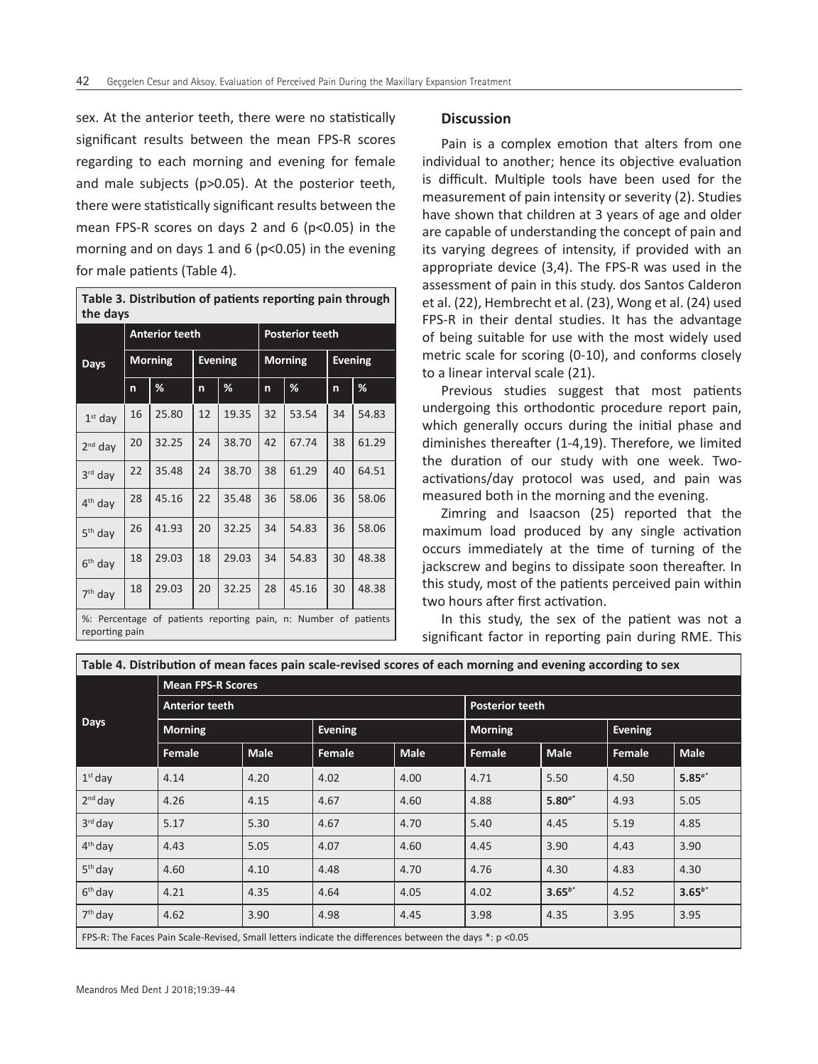sex. At the anterior teeth, there were no statistically significant results between the mean FPS-R scores regarding to each morning and evening for female and male subjects (p>0.05). At the posterior teeth, there were statistically significant results between the mean FPS-R scores on days 2 and 6 (p<0.05) in the morning and on days 1 and 6 ( $p$ <0.05) in the evening for male patients (Table 4).

| Table 3. Distribution of patients reporting pain through |
|----------------------------------------------------------|
| l the davs                                               |

|                     |                                                                 | <b>Anterior teeth</b> |    |                | <b>Posterior teeth</b> |                |                |       |  |  |  |
|---------------------|-----------------------------------------------------------------|-----------------------|----|----------------|------------------------|----------------|----------------|-------|--|--|--|
| <b>Days</b>         |                                                                 | <b>Morning</b>        |    | <b>Evening</b> |                        | <b>Morning</b> | <b>Evening</b> |       |  |  |  |
|                     | n                                                               | %                     | n  | %              | n                      | %              | n              | %     |  |  |  |
| $1st$ day           | 16                                                              | 25.80                 | 12 | 19.35          | 32                     | 53.54          | 34             | 54.83 |  |  |  |
| $2nd$ day           | 20                                                              | 32.25                 | 24 | 38.70          | 42                     | 67.74          | 38             | 61.29 |  |  |  |
| 3rd day             | 22                                                              | 35.48                 | 24 | 38.70          | 38                     | 61.29          | 40             | 64.51 |  |  |  |
| 4 <sup>th</sup> day | 28                                                              | 45.16                 | 22 | 35.48          | 36                     | 58.06          | 36             | 58.06 |  |  |  |
| $5th$ day           | 26                                                              | 41.93                 | 20 | 32.25          | 34                     | 54.83          | 36             | 58.06 |  |  |  |
| $6th$ day           | 18                                                              | 29.03                 | 18 | 29.03          | 34                     | 54.83          | 30             | 48.38 |  |  |  |
| $7th$ day           | 18                                                              | 29.03                 | 20 | 32.25          | 28                     | 45.16          | 30             | 48.38 |  |  |  |
|                     | %: Percentage of patients reporting pain, n: Number of patients |                       |    |                |                        |                |                |       |  |  |  |

#### reporting pain

#### **Discussion**

Pain is a complex emotion that alters from one individual to another; hence its objective evaluation is difficult. Multiple tools have been used for the measurement of pain intensity or severity (2). Studies have shown that children at 3 years of age and older are capable of understanding the concept of pain and its varying degrees of intensity, if provided with an appropriate device (3,4). The FPS-R was used in the assessment of pain in this study. dos Santos Calderon et al. (22), Hembrecht et al. (23), Wong et al. (24) used FPS-R in their dental studies. It has the advantage of being suitable for use with the most widely used metric scale for scoring (0-10), and conforms closely to a linear interval scale (21).

Previous studies suggest that most patients undergoing this orthodontic procedure report pain, which generally occurs during the initial phase and diminishes thereafter (1-4,19). Therefore, we limited the duration of our study with one week. Twoactivations/day protocol was used, and pain was measured both in the morning and the evening.

Zimring and Isaacson (25) reported that the maximum load produced by any single activation occurs immediately at the time of turning of the jackscrew and begins to dissipate soon thereafter. In this study, most of the patients perceived pain within two hours after first activation.

In this study, the sex of the patient was not a significant factor in reporting pain during RME. This

| Table 4. Distribution of mean faces pain scale-revised scores of each morning and evening according to sex |                                                                                                         |             |                |                        |                       |             |                |             |  |  |  |  |  |  |
|------------------------------------------------------------------------------------------------------------|---------------------------------------------------------------------------------------------------------|-------------|----------------|------------------------|-----------------------|-------------|----------------|-------------|--|--|--|--|--|--|
|                                                                                                            | <b>Mean FPS-R Scores</b>                                                                                |             |                |                        |                       |             |                |             |  |  |  |  |  |  |
| <b>Days</b>                                                                                                | <b>Anterior teeth</b>                                                                                   |             |                | <b>Posterior teeth</b> |                       |             |                |             |  |  |  |  |  |  |
|                                                                                                            | <b>Morning</b>                                                                                          |             | <b>Evening</b> |                        | <b>Morning</b>        |             | <b>Evening</b> |             |  |  |  |  |  |  |
|                                                                                                            | Female                                                                                                  | <b>Male</b> | Female         | <b>Male</b>            | <b>Male</b><br>Female |             | Female         | <b>Male</b> |  |  |  |  |  |  |
| $\vert 1^{\rm st}$ day                                                                                     | 4.14                                                                                                    | 4.20        | 4.02           | 4.00                   | 4.71                  | 5.50        | 4.50           | $5.85^{a*}$ |  |  |  |  |  |  |
| $2nd$ day                                                                                                  | 4.26                                                                                                    | 4.15        | 4.67           | 4.60                   | 4.88                  | $5.80^{a*}$ | 4.93           | 5.05        |  |  |  |  |  |  |
| $3^{rd}$ day                                                                                               | 5.17                                                                                                    | 5.30        | 4.67           | 4.70                   | 5.40                  | 4.45        | 5.19           | 4.85        |  |  |  |  |  |  |
| $4th$ day                                                                                                  | 4.43                                                                                                    | 5.05        | 4.07           | 4.60                   | 4.45                  | 3.90        | 4.43           | 3.90        |  |  |  |  |  |  |
| 5 <sup>th</sup> day                                                                                        | 4.60                                                                                                    | 4.10        | 4.48           | 4.70                   | 4.76                  | 4.30        | 4.83           | 4.30        |  |  |  |  |  |  |
| $6th$ day                                                                                                  | 4.21                                                                                                    | 4.35        | 4.64           | 4.05                   | 4.02                  | $3.65^{b*}$ | 4.52           | $3.65^{b*}$ |  |  |  |  |  |  |
| $7th$ day                                                                                                  | 4.62                                                                                                    | 3.90        | 4.98           | 4.45                   | 3.98                  | 4.35        | 3.95           | 3.95        |  |  |  |  |  |  |
|                                                                                                            | FPS-R: The Faces Pain Scale-Revised, Small letters indicate the differences between the days *: p <0.05 |             |                |                        |                       |             |                |             |  |  |  |  |  |  |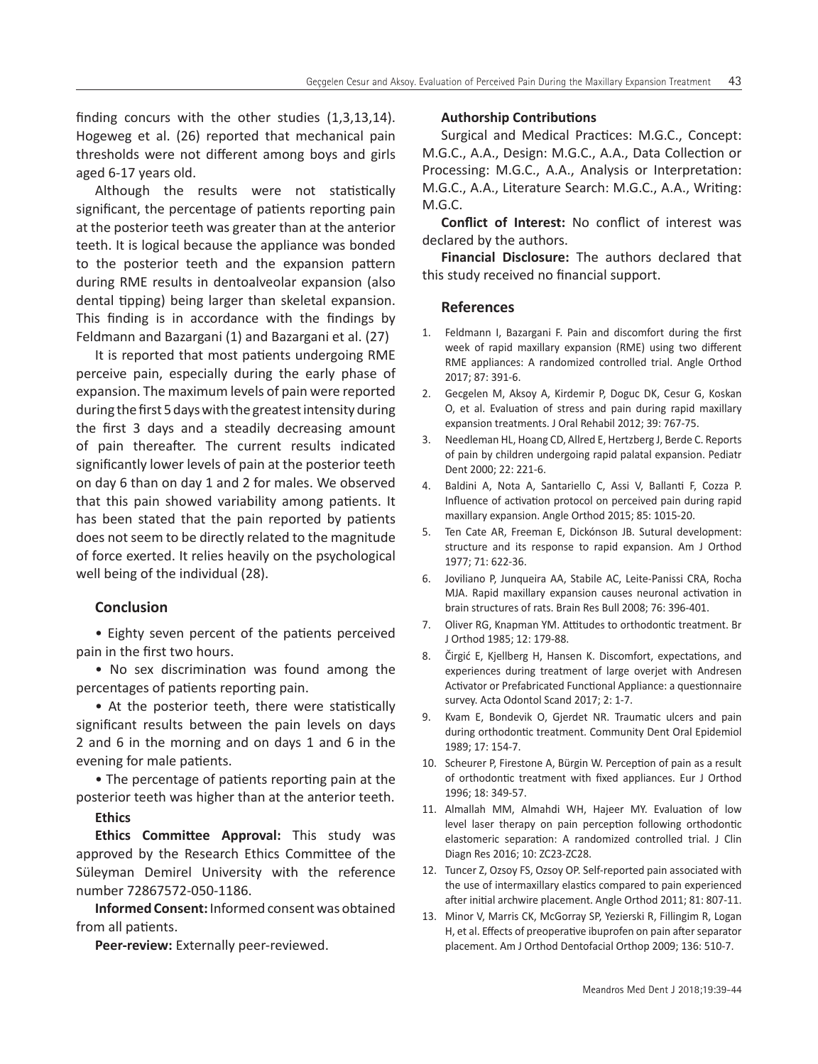finding concurs with the other studies (1,3,13,14). Hogeweg et al. (26) reported that mechanical pain thresholds were not different among boys and girls aged 6-17 years old.

Although the results were not statistically significant, the percentage of patients reporting pain at the posterior teeth was greater than at the anterior teeth. It is logical because the appliance was bonded to the posterior teeth and the expansion pattern during RME results in dentoalveolar expansion (also dental tipping) being larger than skeletal expansion. This finding is in accordance with the findings by Feldmann and Bazargani (1) and Bazargani et al. (27)

It is reported that most patients undergoing RME perceive pain, especially during the early phase of expansion. The maximum levels of pain were reported during the first 5 days with the greatest intensity during the first 3 days and a steadily decreasing amount of pain thereafter. The current results indicated significantly lower levels of pain at the posterior teeth on day 6 than on day 1 and 2 for males. We observed that this pain showed variability among patients. It has been stated that the pain reported by patients does not seem to be directly related to the magnitude of force exerted. It relies heavily on the psychological well being of the individual (28).

# **Conclusion**

• Eighty seven percent of the patients perceived pain in the first two hours.

• No sex discrimination was found among the percentages of patients reporting pain.

• At the posterior teeth, there were statistically significant results between the pain levels on days 2 and 6 in the morning and on days 1 and 6 in the evening for male patients.

• The percentage of patients reporting pain at the posterior teeth was higher than at the anterior teeth.

# **Ethics**

**Ethics Committee Approval:** This study was approved by the Research Ethics Committee of the Süleyman Demirel University with the reference number 72867572-050-1186.

**Informed Consent:** Informed consent was obtained from all patients.

**Peer-review:** Externally peer-reviewed.

#### **Authorship Contributions**

Surgical and Medical Practices: M.G.C., Concept: M.G.C., A.A., Design: M.G.C., A.A., Data Collection or Processing: M.G.C., A.A., Analysis or Interpretation: M.G.C., A.A., Literature Search: M.G.C., A.A., Writing: M.G.C.

**Conflict of Interest:** No conflict of interest was declared by the authors.

**Financial Disclosure:** The authors declared that this study received no financial support.

### **References**

- 1. Feldmann I, Bazargani F. Pain and discomfort during the first week of rapid maxillary expansion (RME) using two different RME appliances: A randomized controlled trial. Angle Orthod 2017; 87: 391-6.
- 2. Gecgelen M, Aksoy A, Kirdemir P, Doguc DK, Cesur G, Koskan O, et al. Evaluation of stress and pain during rapid maxillary expansion treatments. J Oral Rehabil 2012; 39: 767-75.
- 3. Needleman HL, Hoang CD, Allred E, Hertzberg J, Berde C. Reports of pain by children undergoing rapid palatal expansion. Pediatr Dent 2000; 22: 221-6.
- 4. Baldini A, Nota A, Santariello C, Assi V, Ballanti F, Cozza P. Influence of activation protocol on perceived pain during rapid maxillary expansion. Angle Orthod 2015; 85: 1015-20.
- 5. Ten Cate AR, Freeman E, Dickónson JB. Sutural development: structure and its response to rapid expansion. Am J Orthod 1977; 71: 622-36.
- 6. Joviliano P, Junqueira AA, Stabile AC, Leite-Panissi CRA, Rocha MJA. Rapid maxillary expansion causes neuronal activation in brain structures of rats. Brain Res Bull 2008; 76: 396-401.
- 7. Oliver RG, Knapman YM. Attitudes to orthodontic treatment. Br J Orthod 1985; 12: 179-88.
- 8. Čirgić E, Kjellberg H, Hansen K. Discomfort, expectations, and experiences during treatment of large overjet with Andresen Activator or Prefabricated Functional Appliance: a questionnaire survey. Acta Odontol Scand 2017; 2: 1-7.
- 9. Kvam E, Bondevik O, Gjerdet NR. Traumatic ulcers and pain during orthodontic treatment. Community Dent Oral Epidemiol 1989; 17: 154-7.
- 10. Scheurer P, Firestone A, Bürgin W. Perception of pain as a result of orthodontic treatment with fixed appliances. Eur J Orthod 1996; 18: 349-57.
- 11. Almallah MM, Almahdi WH, Hajeer MY. Evaluation of low level laser therapy on pain perception following orthodontic elastomeric separation: A randomized controlled trial. J Clin Diagn Res 2016; 10: ZC23-ZC28.
- 12. Tuncer Z, Ozsoy FS, Ozsoy OP. Self-reported pain associated with the use of intermaxillary elastics compared to pain experienced after initial archwire placement. Angle Orthod 2011; 81: 807-11.
- 13. Minor V, Marris CK, McGorray SP, Yezierski R, Fillingim R, Logan H, et al. Effects of preoperative ibuprofen on pain after separator placement. Am J Orthod Dentofacial Orthop 2009; 136: 510-7.